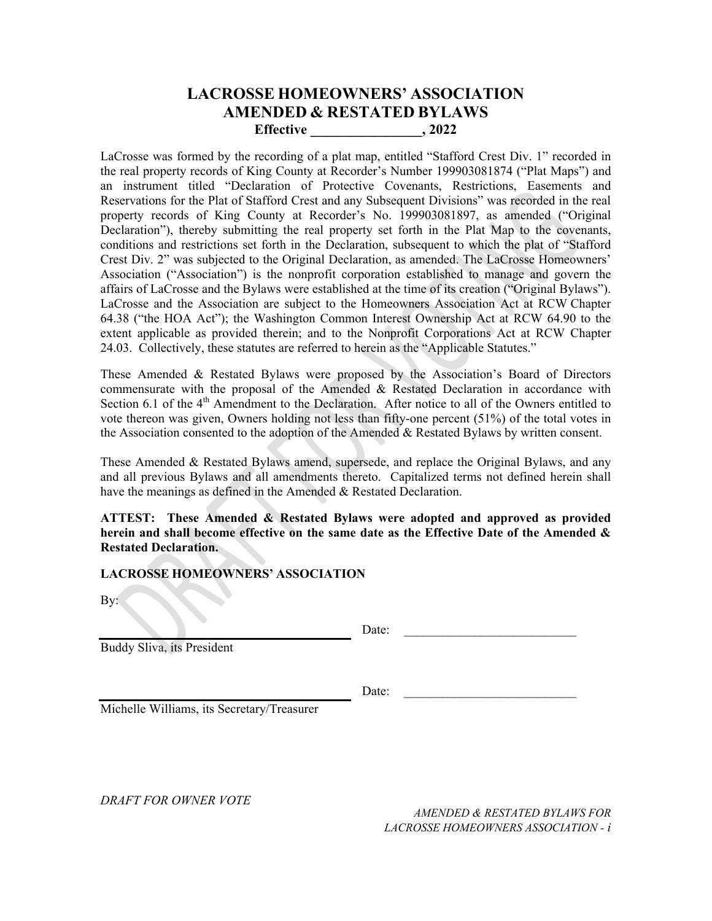# **LACROSSE HOMEOWNERS' ASSOCIATION AMENDED & RESTATED BYLAWS Effective \_\_\_\_\_\_\_\_\_\_\_\_\_\_\_\_, 2022**

LaCrosse was formed by the recording of a plat map, entitled "Stafford Crest Div. 1" recorded in the real property records of King County at Recorder's Number 199903081874 ("Plat Maps") and an instrument titled "Declaration of Protective Covenants, Restrictions, Easements and Reservations for the Plat of Stafford Crest and any Subsequent Divisions" was recorded in the real property records of King County at Recorder's No. 199903081897, as amended ("Original Declaration"), thereby submitting the real property set forth in the Plat Map to the covenants, conditions and restrictions set forth in the Declaration, subsequent to which the plat of "Stafford Crest Div. 2" was subjected to the Original Declaration, as amended. The LaCrosse Homeowners' Association ("Association") is the nonprofit corporation established to manage and govern the affairs of LaCrosse and the Bylaws were established at the time of its creation ("Original Bylaws"). LaCrosse and the Association are subject to the Homeowners Association Act at RCW Chapter 64.38 ("the HOA Act"); the Washington Common Interest Ownership Act at RCW 64.90 to the extent applicable as provided therein; and to the Nonprofit Corporations Act at RCW Chapter 24.03. Collectively, these statutes are referred to herein as the "Applicable Statutes."

These Amended & Restated Bylaws were proposed by the Association's Board of Directors commensurate with the proposal of the Amended & Restated Declaration in accordance with Section 6.1 of the 4<sup>th</sup> Amendment to the Declaration. After notice to all of the Owners entitled to vote thereon was given, Owners holding not less than fifty-one percent (51%) of the total votes in the Association consented to the adoption of the Amended & Restated Bylaws by written consent.

These Amended & Restated Bylaws amend, supersede, and replace the Original Bylaws, and any and all previous Bylaws and all amendments thereto. Capitalized terms not defined herein shall have the meanings as defined in the Amended & Restated Declaration.

**ATTEST: These Amended & Restated Bylaws were adopted and approved as provided herein and shall become effective on the same date as the Effective Date of the Amended & Restated Declaration.** 

#### **LACROSSE HOMEOWNERS' ASSOCIATION**

By:

Buddy Sliva, its President

 $Date:$ 

Date:  $\frac{1}{\sqrt{1-\frac{1}{2}}}\left\{ \frac{1}{2}, \frac{1}{2}, \frac{1}{2}, \frac{1}{2}\right\}$ 

Michelle Williams, its Secretary/Treasurer

*DRAFT FOR OWNER VOTE*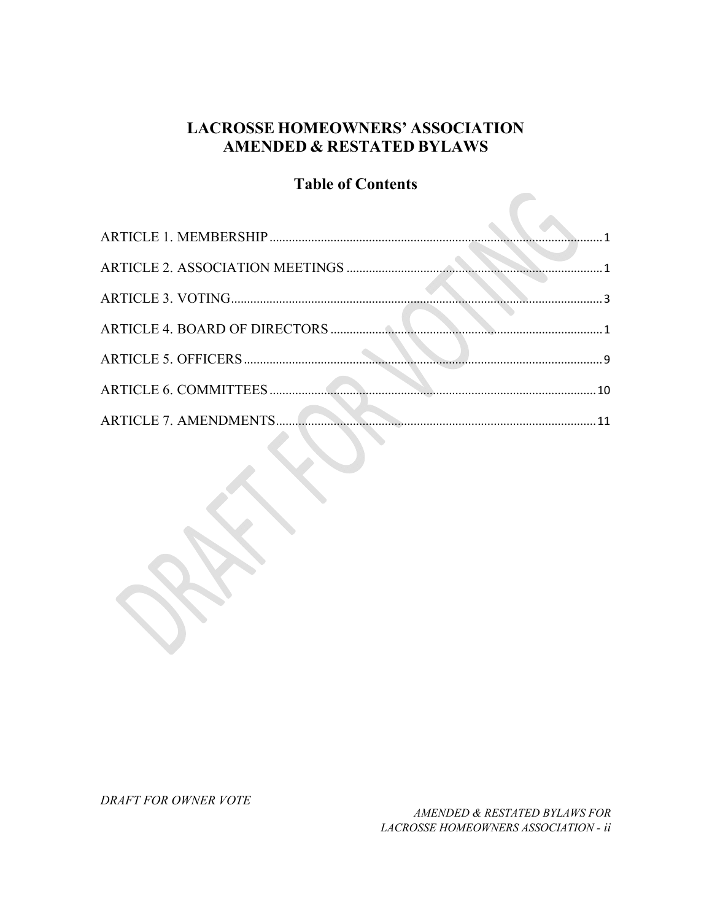# **LACROSSE HOMEOWNERS' ASSOCIATION AMENDED & RESTATED BYLAWS**

# **Table of Contents**

| <u>888 - Januar Jacobson, martin al-A</u> | 10 |
|-------------------------------------------|----|
| <b>ARTICLE 7. AMENDMENTS.</b>             |    |

DRAFT FOR OWNER VOTE

AMENDED & RESTATED BYLAWS FOR LACROSSE HOMEOWNERS ASSOCIATION - ii

 $\overline{a}$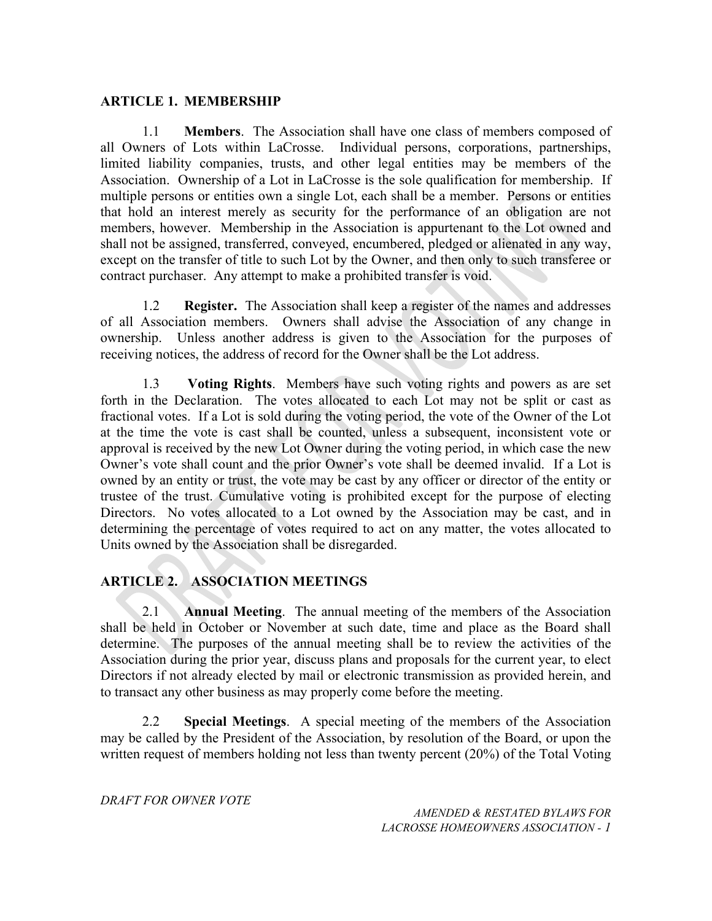### **ARTICLE 1. MEMBERSHIP**

1.1 **Members**. The Association shall have one class of members composed of all Owners of Lots within LaCrosse. Individual persons, corporations, partnerships, limited liability companies, trusts, and other legal entities may be members of the Association. Ownership of a Lot in LaCrosse is the sole qualification for membership. If multiple persons or entities own a single Lot, each shall be a member. Persons or entities that hold an interest merely as security for the performance of an obligation are not members, however. Membership in the Association is appurtenant to the Lot owned and shall not be assigned, transferred, conveyed, encumbered, pledged or alienated in any way, except on the transfer of title to such Lot by the Owner, and then only to such transferee or contract purchaser. Any attempt to make a prohibited transfer is void.

1.2 **Register.** The Association shall keep a register of the names and addresses of all Association members. Owners shall advise the Association of any change in ownership. Unless another address is given to the Association for the purposes of receiving notices, the address of record for the Owner shall be the Lot address.

1.3 **Voting Rights**. Members have such voting rights and powers as are set forth in the Declaration. The votes allocated to each Lot may not be split or cast as fractional votes. If a Lot is sold during the voting period, the vote of the Owner of the Lot at the time the vote is cast shall be counted, unless a subsequent, inconsistent vote or approval is received by the new Lot Owner during the voting period, in which case the new Owner's vote shall count and the prior Owner's vote shall be deemed invalid. If a Lot is owned by an entity or trust, the vote may be cast by any officer or director of the entity or trustee of the trust. Cumulative voting is prohibited except for the purpose of electing Directors. No votes allocated to a Lot owned by the Association may be cast, and in determining the percentage of votes required to act on any matter, the votes allocated to Units owned by the Association shall be disregarded.

## **ARTICLE 2. ASSOCIATION MEETINGS**

2.1 **Annual Meeting**. The annual meeting of the members of the Association shall be held in October or November at such date, time and place as the Board shall determine. The purposes of the annual meeting shall be to review the activities of the Association during the prior year, discuss plans and proposals for the current year, to elect Directors if not already elected by mail or electronic transmission as provided herein, and to transact any other business as may properly come before the meeting.

2.2 **Special Meetings**. A special meeting of the members of the Association may be called by the President of the Association, by resolution of the Board, or upon the written request of members holding not less than twenty percent (20%) of the Total Voting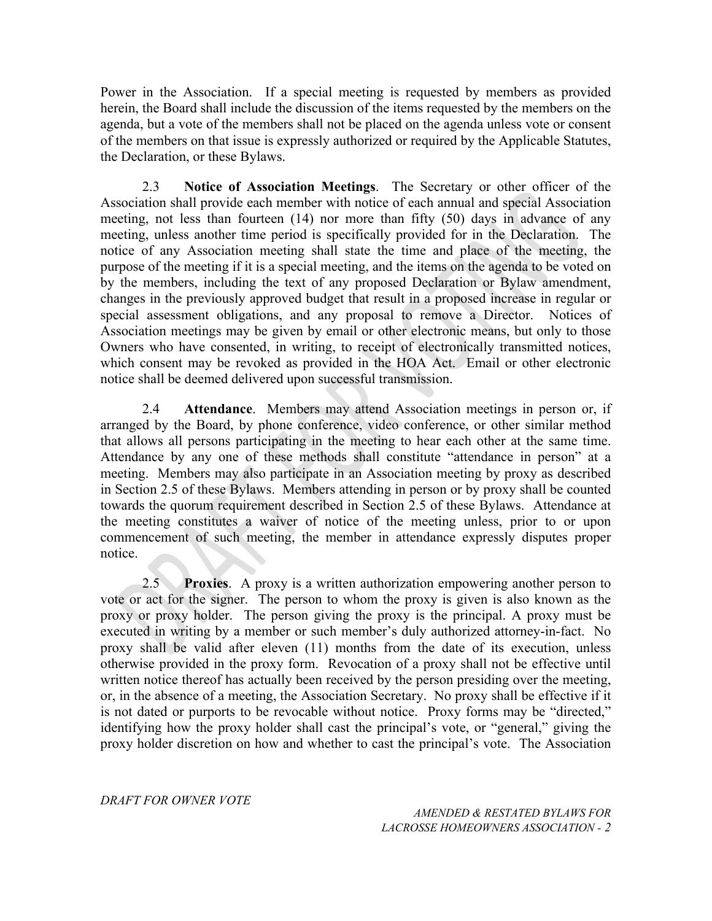Power in the Association. If a special meeting is requested by members as provided herein, the Board shall include the discussion of the items requested by the members on the agenda, but a vote of the members shall not be placed on the agenda unless vote or consent of the members on that issue is expressly authorized or required by the Applicable Statutes, the Declaration, or these Bylaws.

2.3 **Notice of Association Meetings**. The Secretary or other officer of the Association shall provide each member with notice of each annual and special Association meeting, not less than fourteen (14) nor more than fifty (50) days in advance of any meeting, unless another time period is specifically provided for in the Declaration. The notice of any Association meeting shall state the time and place of the meeting, the purpose of the meeting if it is a special meeting, and the items on the agenda to be voted on by the members, including the text of any proposed Declaration or Bylaw amendment, changes in the previously approved budget that result in a proposed increase in regular or special assessment obligations, and any proposal to remove a Director. Notices of Association meetings may be given by email or other electronic means, but only to those Owners who have consented, in writing, to receipt of electronically transmitted notices, which consent may be revoked as provided in the HOA Act. Email or other electronic notice shall be deemed delivered upon successful transmission.

2.4 **Attendance**. Members may attend Association meetings in person or, if arranged by the Board, by phone conference, video conference, or other similar method that allows all persons participating in the meeting to hear each other at the same time. Attendance by any one of these methods shall constitute "attendance in person" at a meeting. Members may also participate in an Association meeting by proxy as described in Section 2.5 of these Bylaws. Members attending in person or by proxy shall be counted towards the quorum requirement described in Section 2.5 of these Bylaws. Attendance at the meeting constitutes a waiver of notice of the meeting unless, prior to or upon commencement of such meeting, the member in attendance expressly disputes proper notice.

2.5 **Proxies**. A proxy is a written authorization empowering another person to vote or act for the signer. The person to whom the proxy is given is also known as the proxy or proxy holder. The person giving the proxy is the principal. A proxy must be executed in writing by a member or such member's duly authorized attorney-in-fact. No proxy shall be valid after eleven (11) months from the date of its execution, unless otherwise provided in the proxy form. Revocation of a proxy shall not be effective until written notice thereof has actually been received by the person presiding over the meeting, or, in the absence of a meeting, the Association Secretary. No proxy shall be effective if it is not dated or purports to be revocable without notice. Proxy forms may be "directed," identifying how the proxy holder shall cast the principal's vote, or "general," giving the proxy holder discretion on how and whether to cast the principal's vote. The Association

*DRAFT FOR OWNER VOTE*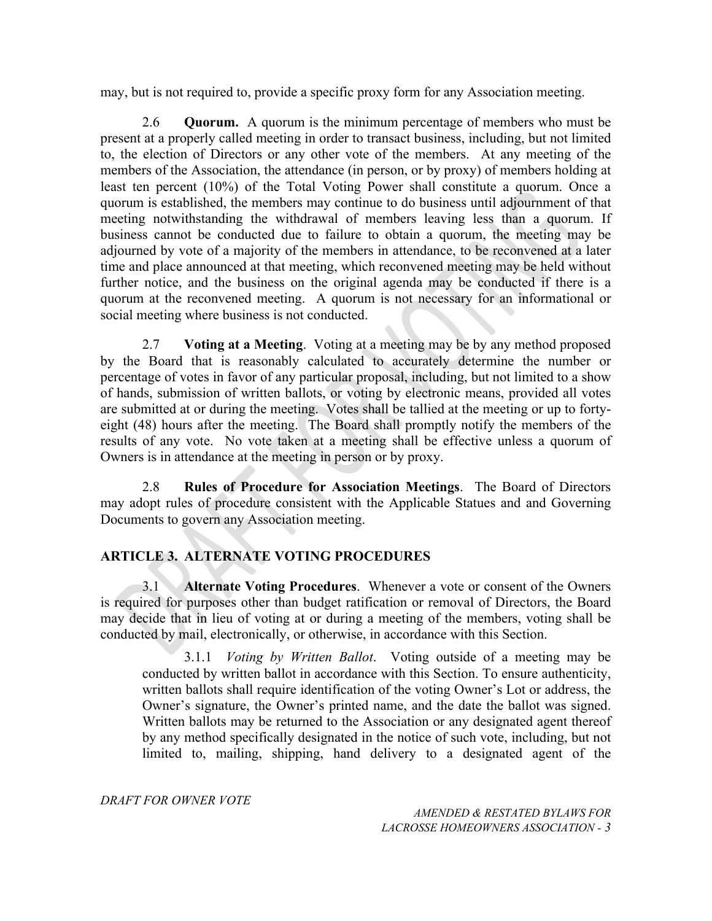may, but is not required to, provide a specific proxy form for any Association meeting.

2.6 **Quorum.** A quorum is the minimum percentage of members who must be present at a properly called meeting in order to transact business, including, but not limited to, the election of Directors or any other vote of the members. At any meeting of the members of the Association, the attendance (in person, or by proxy) of members holding at least ten percent (10%) of the Total Voting Power shall constitute a quorum. Once a quorum is established, the members may continue to do business until adjournment of that meeting notwithstanding the withdrawal of members leaving less than a quorum. If business cannot be conducted due to failure to obtain a quorum, the meeting may be adjourned by vote of a majority of the members in attendance, to be reconvened at a later time and place announced at that meeting, which reconvened meeting may be held without further notice, and the business on the original agenda may be conducted if there is a quorum at the reconvened meeting. A quorum is not necessary for an informational or social meeting where business is not conducted.

2.7 **Voting at a Meeting**. Voting at a meeting may be by any method proposed by the Board that is reasonably calculated to accurately determine the number or percentage of votes in favor of any particular proposal, including, but not limited to a show of hands, submission of written ballots, or voting by electronic means, provided all votes are submitted at or during the meeting. Votes shall be tallied at the meeting or up to fortyeight (48) hours after the meeting. The Board shall promptly notify the members of the results of any vote. No vote taken at a meeting shall be effective unless a quorum of Owners is in attendance at the meeting in person or by proxy.

2.8 **Rules of Procedure for Association Meetings**. The Board of Directors may adopt rules of procedure consistent with the Applicable Statues and and Governing Documents to govern any Association meeting.

# **ARTICLE 3. ALTERNATE VOTING PROCEDURES**

3.1 **Alternate Voting Procedures**. Whenever a vote or consent of the Owners is required for purposes other than budget ratification or removal of Directors, the Board may decide that in lieu of voting at or during a meeting of the members, voting shall be conducted by mail, electronically, or otherwise, in accordance with this Section.

3.1.1 *Voting by Written Ballot*. Voting outside of a meeting may be conducted by written ballot in accordance with this Section. To ensure authenticity, written ballots shall require identification of the voting Owner's Lot or address, the Owner's signature, the Owner's printed name, and the date the ballot was signed. Written ballots may be returned to the Association or any designated agent thereof by any method specifically designated in the notice of such vote, including, but not limited to, mailing, shipping, hand delivery to a designated agent of the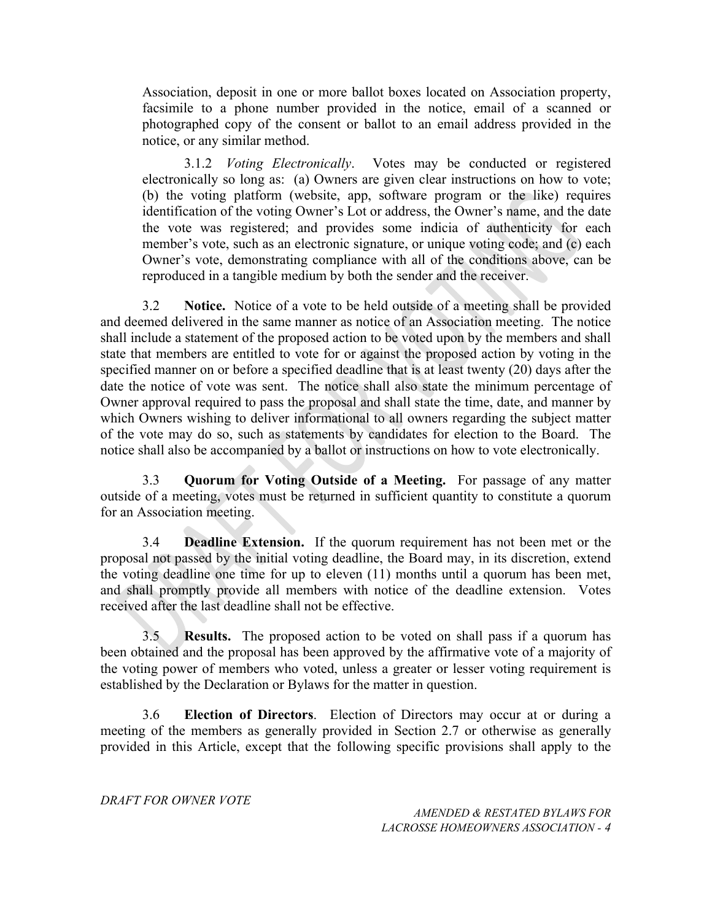Association, deposit in one or more ballot boxes located on Association property, facsimile to a phone number provided in the notice, email of a scanned or photographed copy of the consent or ballot to an email address provided in the notice, or any similar method.

3.1.2 *Voting Electronically*. Votes may be conducted or registered electronically so long as: (a) Owners are given clear instructions on how to vote; (b) the voting platform (website, app, software program or the like) requires identification of the voting Owner's Lot or address, the Owner's name, and the date the vote was registered; and provides some indicia of authenticity for each member's vote, such as an electronic signature, or unique voting code; and (c) each Owner's vote, demonstrating compliance with all of the conditions above, can be reproduced in a tangible medium by both the sender and the receiver.

3.2 **Notice.** Notice of a vote to be held outside of a meeting shall be provided and deemed delivered in the same manner as notice of an Association meeting. The notice shall include a statement of the proposed action to be voted upon by the members and shall state that members are entitled to vote for or against the proposed action by voting in the specified manner on or before a specified deadline that is at least twenty (20) days after the date the notice of vote was sent. The notice shall also state the minimum percentage of Owner approval required to pass the proposal and shall state the time, date, and manner by which Owners wishing to deliver informational to all owners regarding the subject matter of the vote may do so, such as statements by candidates for election to the Board. The notice shall also be accompanied by a ballot or instructions on how to vote electronically.

3.3 **Quorum for Voting Outside of a Meeting.** For passage of any matter outside of a meeting, votes must be returned in sufficient quantity to constitute a quorum for an Association meeting.

3.4 **Deadline Extension.** If the quorum requirement has not been met or the proposal not passed by the initial voting deadline, the Board may, in its discretion, extend the voting deadline one time for up to eleven (11) months until a quorum has been met, and shall promptly provide all members with notice of the deadline extension. Votes received after the last deadline shall not be effective.

3.5 **Results.** The proposed action to be voted on shall pass if a quorum has been obtained and the proposal has been approved by the affirmative vote of a majority of the voting power of members who voted, unless a greater or lesser voting requirement is established by the Declaration or Bylaws for the matter in question.

3.6 **Election of Directors**. Election of Directors may occur at or during a meeting of the members as generally provided in Section 2.7 or otherwise as generally provided in this Article, except that the following specific provisions shall apply to the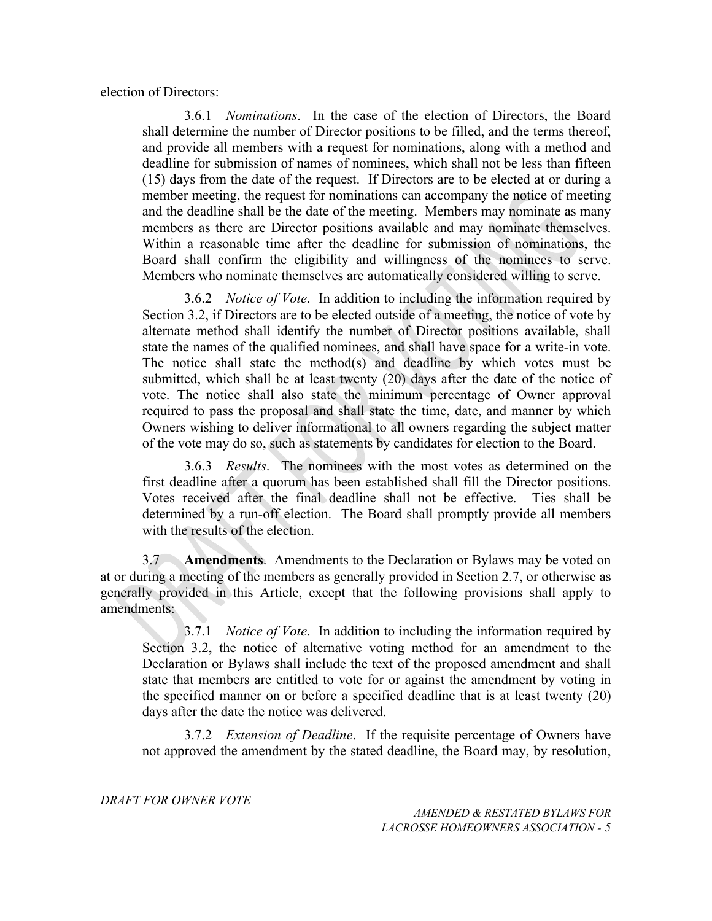election of Directors:

3.6.1 *Nominations*. In the case of the election of Directors, the Board shall determine the number of Director positions to be filled, and the terms thereof, and provide all members with a request for nominations, along with a method and deadline for submission of names of nominees, which shall not be less than fifteen (15) days from the date of the request. If Directors are to be elected at or during a member meeting, the request for nominations can accompany the notice of meeting and the deadline shall be the date of the meeting. Members may nominate as many members as there are Director positions available and may nominate themselves. Within a reasonable time after the deadline for submission of nominations, the Board shall confirm the eligibility and willingness of the nominees to serve. Members who nominate themselves are automatically considered willing to serve.

3.6.2 *Notice of Vote*. In addition to including the information required by Section 3.2, if Directors are to be elected outside of a meeting, the notice of vote by alternate method shall identify the number of Director positions available, shall state the names of the qualified nominees, and shall have space for a write-in vote. The notice shall state the method(s) and deadline by which votes must be submitted, which shall be at least twenty (20) days after the date of the notice of vote. The notice shall also state the minimum percentage of Owner approval required to pass the proposal and shall state the time, date, and manner by which Owners wishing to deliver informational to all owners regarding the subject matter of the vote may do so, such as statements by candidates for election to the Board.

3.6.3 *Results*. The nominees with the most votes as determined on the first deadline after a quorum has been established shall fill the Director positions. Votes received after the final deadline shall not be effective. Ties shall be determined by a run-off election. The Board shall promptly provide all members with the results of the election.

3.7 **Amendments**. Amendments to the Declaration or Bylaws may be voted on at or during a meeting of the members as generally provided in Section 2.7, or otherwise as generally provided in this Article, except that the following provisions shall apply to amendments:

3.7.1 *Notice of Vote*. In addition to including the information required by Section 3.2, the notice of alternative voting method for an amendment to the Declaration or Bylaws shall include the text of the proposed amendment and shall state that members are entitled to vote for or against the amendment by voting in the specified manner on or before a specified deadline that is at least twenty (20) days after the date the notice was delivered.

3.7.2 *Extension of Deadline*. If the requisite percentage of Owners have not approved the amendment by the stated deadline, the Board may, by resolution,

*DRAFT FOR OWNER VOTE*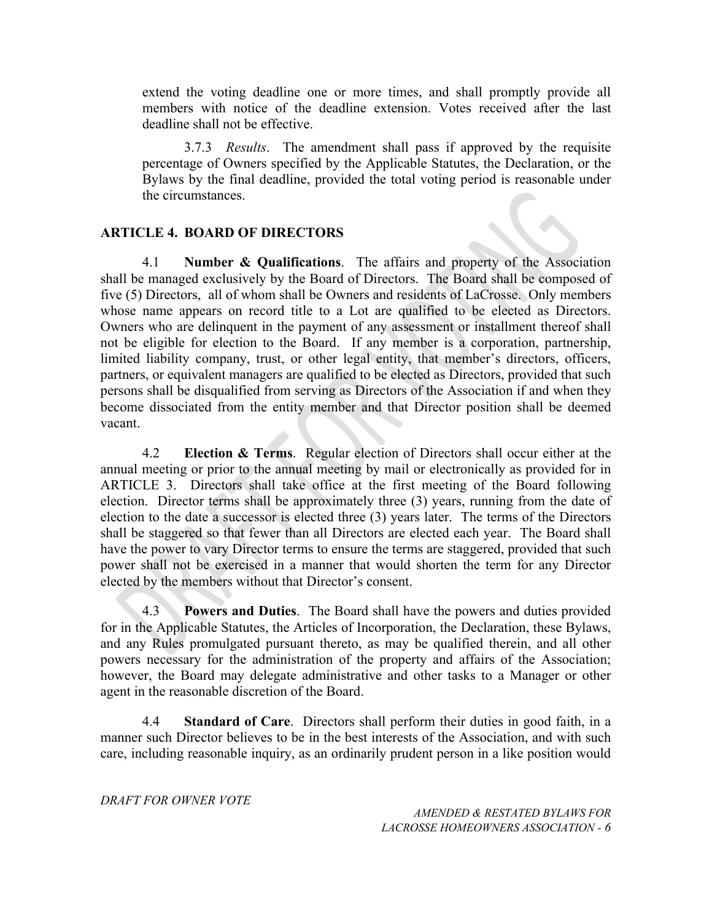extend the voting deadline one or more times, and shall promptly provide all members with notice of the deadline extension. Votes received after the last deadline shall not be effective.

3.7.3 *Results*. The amendment shall pass if approved by the requisite percentage of Owners specified by the Applicable Statutes, the Declaration, or the Bylaws by the final deadline, provided the total voting period is reasonable under the circumstances.

#### **ARTICLE 4. BOARD OF DIRECTORS**

4.1 **Number & Qualifications**. The affairs and property of the Association shall be managed exclusively by the Board of Directors. The Board shall be composed of five (5) Directors, all of whom shall be Owners and residents of LaCrosse. Only members whose name appears on record title to a Lot are qualified to be elected as Directors. Owners who are delinquent in the payment of any assessment or installment thereof shall not be eligible for election to the Board. If any member is a corporation, partnership, limited liability company, trust, or other legal entity, that member's directors, officers, partners, or equivalent managers are qualified to be elected as Directors, provided that such persons shall be disqualified from serving as Directors of the Association if and when they become dissociated from the entity member and that Director position shall be deemed vacant.

4.2 **Election & Terms**. Regular election of Directors shall occur either at the annual meeting or prior to the annual meeting by mail or electronically as provided for in ARTICLE 3. Directors shall take office at the first meeting of the Board following election. Director terms shall be approximately three (3) years, running from the date of election to the date a successor is elected three (3) years later. The terms of the Directors shall be staggered so that fewer than all Directors are elected each year. The Board shall have the power to vary Director terms to ensure the terms are staggered, provided that such power shall not be exercised in a manner that would shorten the term for any Director elected by the members without that Director's consent.

Powers and Duties. The Board shall have the powers and duties provided for in the Applicable Statutes, the Articles of Incorporation, the Declaration, these Bylaws, and any Rules promulgated pursuant thereto, as may be qualified therein, and all other powers necessary for the administration of the property and affairs of the Association; however, the Board may delegate administrative and other tasks to a Manager or other agent in the reasonable discretion of the Board.

4.4 **Standard of Care**. Directors shall perform their duties in good faith, in a manner such Director believes to be in the best interests of the Association, and with such care, including reasonable inquiry, as an ordinarily prudent person in a like position would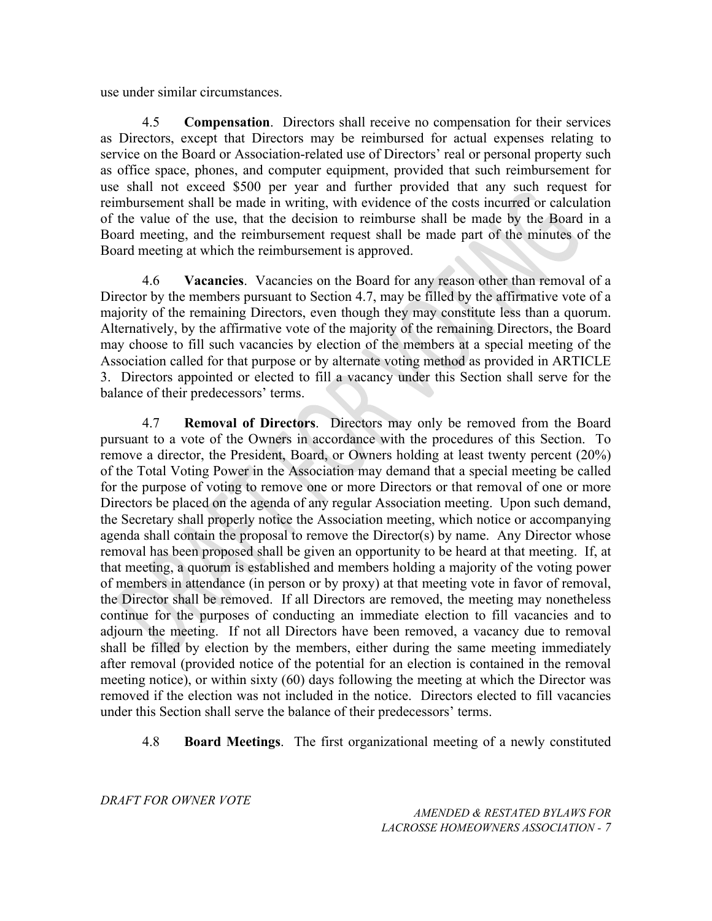use under similar circumstances.

4.5 **Compensation**. Directors shall receive no compensation for their services as Directors, except that Directors may be reimbursed for actual expenses relating to service on the Board or Association-related use of Directors' real or personal property such as office space, phones, and computer equipment, provided that such reimbursement for use shall not exceed \$500 per year and further provided that any such request for reimbursement shall be made in writing, with evidence of the costs incurred or calculation of the value of the use, that the decision to reimburse shall be made by the Board in a Board meeting, and the reimbursement request shall be made part of the minutes of the Board meeting at which the reimbursement is approved.

4.6 **Vacancies**. Vacancies on the Board for any reason other than removal of a Director by the members pursuant to Section 4.7, may be filled by the affirmative vote of a majority of the remaining Directors, even though they may constitute less than a quorum. Alternatively, by the affirmative vote of the majority of the remaining Directors, the Board may choose to fill such vacancies by election of the members at a special meeting of the Association called for that purpose or by alternate voting method as provided in ARTICLE 3. Directors appointed or elected to fill a vacancy under this Section shall serve for the balance of their predecessors' terms.

4.7 **Removal of Directors**. Directors may only be removed from the Board pursuant to a vote of the Owners in accordance with the procedures of this Section. To remove a director, the President, Board, or Owners holding at least twenty percent (20%) of the Total Voting Power in the Association may demand that a special meeting be called for the purpose of voting to remove one or more Directors or that removal of one or more Directors be placed on the agenda of any regular Association meeting. Upon such demand, the Secretary shall properly notice the Association meeting, which notice or accompanying agenda shall contain the proposal to remove the Director(s) by name. Any Director whose removal has been proposed shall be given an opportunity to be heard at that meeting. If, at that meeting, a quorum is established and members holding a majority of the voting power of members in attendance (in person or by proxy) at that meeting vote in favor of removal, the Director shall be removed. If all Directors are removed, the meeting may nonetheless continue for the purposes of conducting an immediate election to fill vacancies and to adjourn the meeting. If not all Directors have been removed, a vacancy due to removal shall be filled by election by the members, either during the same meeting immediately after removal (provided notice of the potential for an election is contained in the removal meeting notice), or within sixty (60) days following the meeting at which the Director was removed if the election was not included in the notice. Directors elected to fill vacancies under this Section shall serve the balance of their predecessors' terms.

4.8 **Board Meetings**. The first organizational meeting of a newly constituted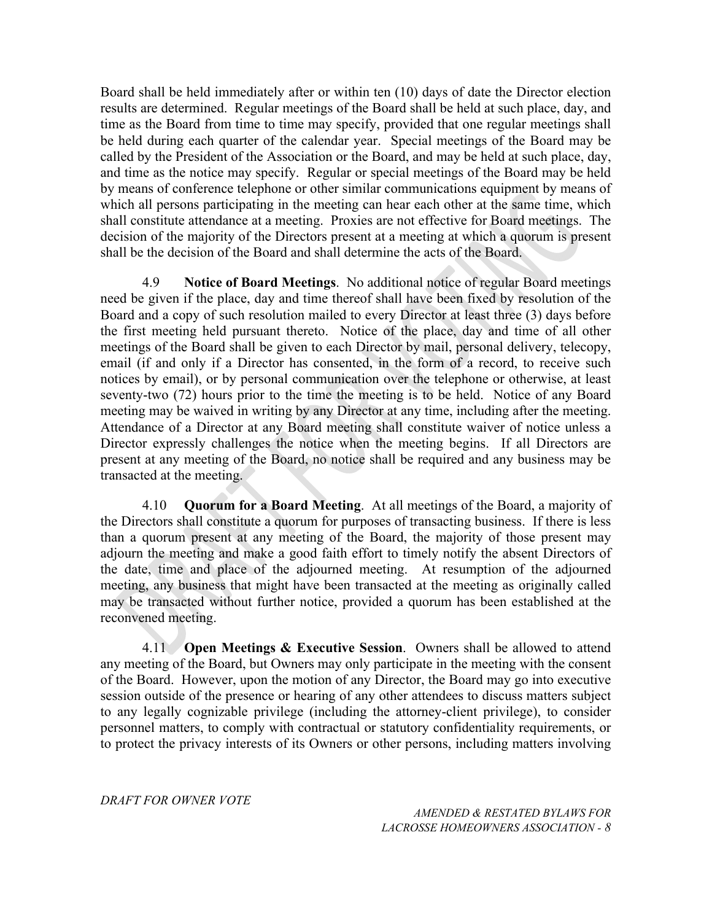Board shall be held immediately after or within ten (10) days of date the Director election results are determined. Regular meetings of the Board shall be held at such place, day, and time as the Board from time to time may specify, provided that one regular meetings shall be held during each quarter of the calendar year. Special meetings of the Board may be called by the President of the Association or the Board, and may be held at such place, day, and time as the notice may specify. Regular or special meetings of the Board may be held by means of conference telephone or other similar communications equipment by means of which all persons participating in the meeting can hear each other at the same time, which shall constitute attendance at a meeting. Proxies are not effective for Board meetings. The decision of the majority of the Directors present at a meeting at which a quorum is present shall be the decision of the Board and shall determine the acts of the Board.

4.9 **Notice of Board Meetings**. No additional notice of regular Board meetings need be given if the place, day and time thereof shall have been fixed by resolution of the Board and a copy of such resolution mailed to every Director at least three (3) days before the first meeting held pursuant thereto. Notice of the place, day and time of all other meetings of the Board shall be given to each Director by mail, personal delivery, telecopy, email (if and only if a Director has consented, in the form of a record, to receive such notices by email), or by personal communication over the telephone or otherwise, at least seventy-two (72) hours prior to the time the meeting is to be held. Notice of any Board meeting may be waived in writing by any Director at any time, including after the meeting. Attendance of a Director at any Board meeting shall constitute waiver of notice unless a Director expressly challenges the notice when the meeting begins. If all Directors are present at any meeting of the Board, no notice shall be required and any business may be transacted at the meeting.

4.10 **Quorum for a Board Meeting**. At all meetings of the Board, a majority of the Directors shall constitute a quorum for purposes of transacting business. If there is less than a quorum present at any meeting of the Board, the majority of those present may adjourn the meeting and make a good faith effort to timely notify the absent Directors of the date, time and place of the adjourned meeting. At resumption of the adjourned meeting, any business that might have been transacted at the meeting as originally called may be transacted without further notice, provided a quorum has been established at the reconvened meeting.

4.11 **Open Meetings & Executive Session**. Owners shall be allowed to attend any meeting of the Board, but Owners may only participate in the meeting with the consent of the Board. However, upon the motion of any Director, the Board may go into executive session outside of the presence or hearing of any other attendees to discuss matters subject to any legally cognizable privilege (including the attorney-client privilege), to consider personnel matters, to comply with contractual or statutory confidentiality requirements, or to protect the privacy interests of its Owners or other persons, including matters involving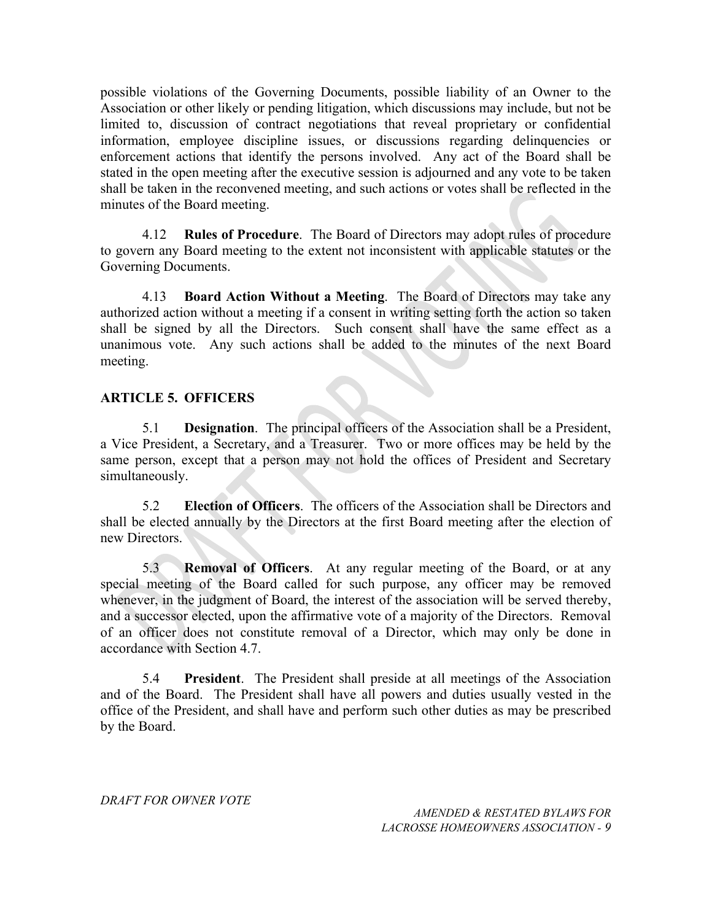possible violations of the Governing Documents, possible liability of an Owner to the Association or other likely or pending litigation, which discussions may include, but not be limited to, discussion of contract negotiations that reveal proprietary or confidential information, employee discipline issues, or discussions regarding delinquencies or enforcement actions that identify the persons involved. Any act of the Board shall be stated in the open meeting after the executive session is adjourned and any vote to be taken shall be taken in the reconvened meeting, and such actions or votes shall be reflected in the minutes of the Board meeting.

4.12 **Rules of Procedure**. The Board of Directors may adopt rules of procedure to govern any Board meeting to the extent not inconsistent with applicable statutes or the Governing Documents.

4.13 **Board Action Without a Meeting**. The Board of Directors may take any authorized action without a meeting if a consent in writing setting forth the action so taken shall be signed by all the Directors. Such consent shall have the same effect as a unanimous vote. Any such actions shall be added to the minutes of the next Board meeting.

### **ARTICLE 5. OFFICERS**

5.1 **Designation**. The principal officers of the Association shall be a President, a Vice President, a Secretary, and a Treasurer. Two or more offices may be held by the same person, except that a person may not hold the offices of President and Secretary simultaneously.

5.2 **Election of Officers**. The officers of the Association shall be Directors and shall be elected annually by the Directors at the first Board meeting after the election of new Directors.

5.3 **Removal of Officers**. At any regular meeting of the Board, or at any special meeting of the Board called for such purpose, any officer may be removed whenever, in the judgment of Board, the interest of the association will be served thereby, and a successor elected, upon the affirmative vote of a majority of the Directors. Removal of an officer does not constitute removal of a Director, which may only be done in accordance with Section 4.7.

5.4 **President**. The President shall preside at all meetings of the Association and of the Board. The President shall have all powers and duties usually vested in the office of the President, and shall have and perform such other duties as may be prescribed by the Board.

*DRAFT FOR OWNER VOTE*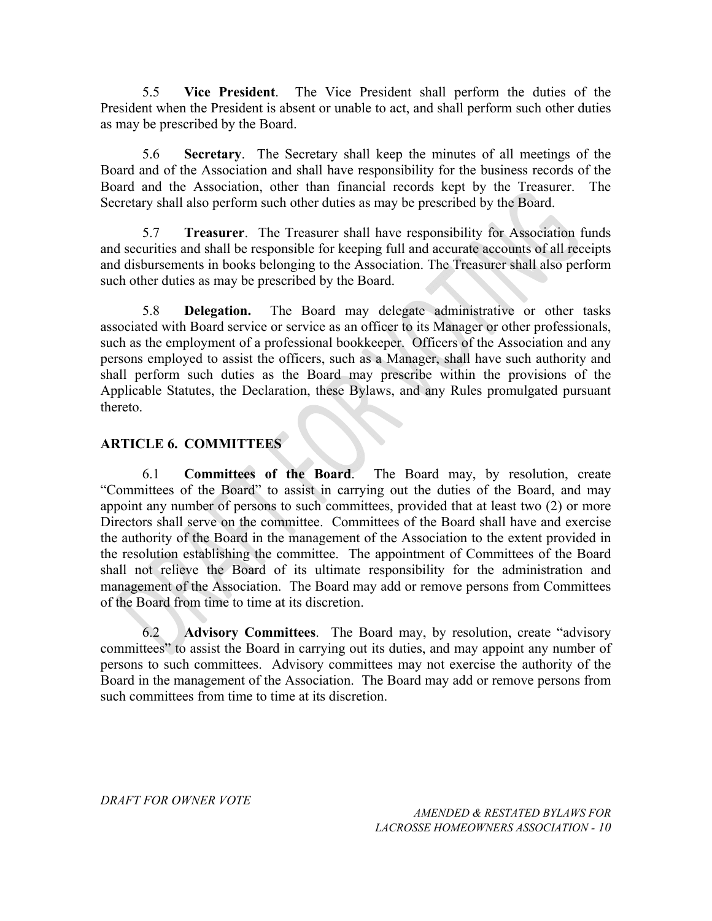5.5 **Vice President**. The Vice President shall perform the duties of the President when the President is absent or unable to act, and shall perform such other duties as may be prescribed by the Board.

5.6 **Secretary**. The Secretary shall keep the minutes of all meetings of the Board and of the Association and shall have responsibility for the business records of the Board and the Association, other than financial records kept by the Treasurer. The Secretary shall also perform such other duties as may be prescribed by the Board.

5.7 **Treasurer**. The Treasurer shall have responsibility for Association funds and securities and shall be responsible for keeping full and accurate accounts of all receipts and disbursements in books belonging to the Association. The Treasurer shall also perform such other duties as may be prescribed by the Board.

5.8 **Delegation.** The Board may delegate administrative or other tasks associated with Board service or service as an officer to its Manager or other professionals, such as the employment of a professional bookkeeper. Officers of the Association and any persons employed to assist the officers, such as a Manager, shall have such authority and shall perform such duties as the Board may prescribe within the provisions of the Applicable Statutes, the Declaration, these Bylaws, and any Rules promulgated pursuant thereto.

## **ARTICLE 6. COMMITTEES**

6.1 **Committees of the Board**. The Board may, by resolution, create "Committees of the Board" to assist in carrying out the duties of the Board, and may appoint any number of persons to such committees, provided that at least two (2) or more Directors shall serve on the committee. Committees of the Board shall have and exercise the authority of the Board in the management of the Association to the extent provided in the resolution establishing the committee. The appointment of Committees of the Board shall not relieve the Board of its ultimate responsibility for the administration and management of the Association. The Board may add or remove persons from Committees of the Board from time to time at its discretion.

6.2 **Advisory Committees**. The Board may, by resolution, create "advisory committees" to assist the Board in carrying out its duties, and may appoint any number of persons to such committees. Advisory committees may not exercise the authority of the Board in the management of the Association. The Board may add or remove persons from such committees from time to time at its discretion.